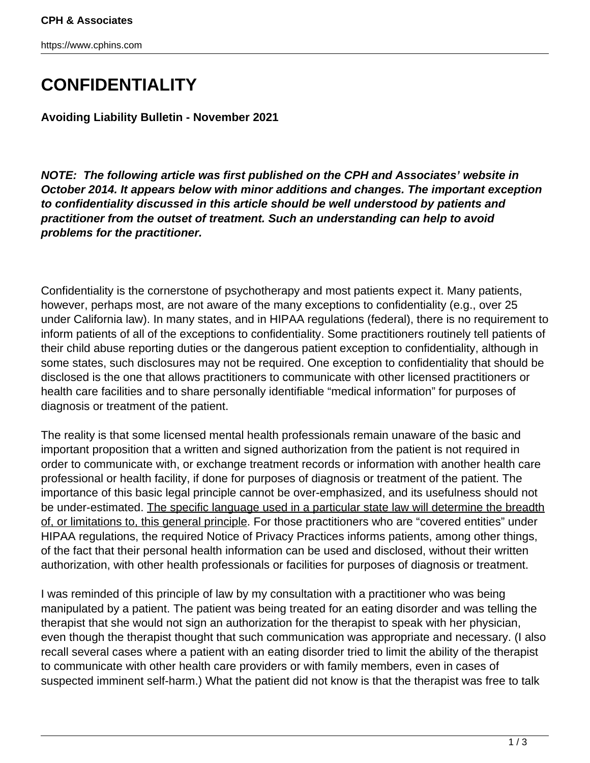https://www.cphins.com

## **CONFIDENTIALITY**

**Avoiding Liability Bulletin - November 2021**

**NOTE: The following article was first published on the CPH and Associates' website in October 2014. It appears below with minor additions and changes. The important exception to confidentiality discussed in this article should be well understood by patients and practitioner from the outset of treatment. Such an understanding can help to avoid problems for the practitioner.**

Confidentiality is the cornerstone of psychotherapy and most patients expect it. Many patients, however, perhaps most, are not aware of the many exceptions to confidentiality (e.g., over 25 under California law). In many states, and in HIPAA regulations (federal), there is no requirement to inform patients of all of the exceptions to confidentiality. Some practitioners routinely tell patients of their child abuse reporting duties or the dangerous patient exception to confidentiality, although in some states, such disclosures may not be required. One exception to confidentiality that should be disclosed is the one that allows practitioners to communicate with other licensed practitioners or health care facilities and to share personally identifiable "medical information" for purposes of diagnosis or treatment of the patient.

The reality is that some licensed mental health professionals remain unaware of the basic and important proposition that a written and signed authorization from the patient is not required in order to communicate with, or exchange treatment records or information with another health care professional or health facility, if done for purposes of diagnosis or treatment of the patient. The importance of this basic legal principle cannot be over-emphasized, and its usefulness should not be under-estimated. The specific language used in a particular state law will determine the breadth of, or limitations to, this general principle. For those practitioners who are "covered entities" under HIPAA regulations, the required Notice of Privacy Practices informs patients, among other things, of the fact that their personal health information can be used and disclosed, without their written authorization, with other health professionals or facilities for purposes of diagnosis or treatment.

I was reminded of this principle of law by my consultation with a practitioner who was being manipulated by a patient. The patient was being treated for an eating disorder and was telling the therapist that she would not sign an authorization for the therapist to speak with her physician, even though the therapist thought that such communication was appropriate and necessary. (I also recall several cases where a patient with an eating disorder tried to limit the ability of the therapist to communicate with other health care providers or with family members, even in cases of suspected imminent self-harm.) What the patient did not know is that the therapist was free to talk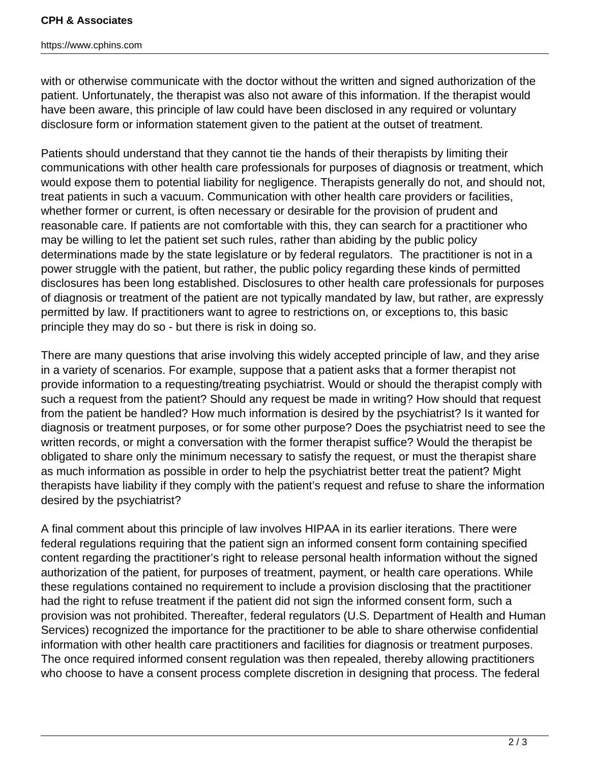https://www.cphins.com

with or otherwise communicate with the doctor without the written and signed authorization of the patient. Unfortunately, the therapist was also not aware of this information. If the therapist would have been aware, this principle of law could have been disclosed in any required or voluntary disclosure form or information statement given to the patient at the outset of treatment.

Patients should understand that they cannot tie the hands of their therapists by limiting their communications with other health care professionals for purposes of diagnosis or treatment, which would expose them to potential liability for negligence. Therapists generally do not, and should not, treat patients in such a vacuum. Communication with other health care providers or facilities, whether former or current, is often necessary or desirable for the provision of prudent and reasonable care. If patients are not comfortable with this, they can search for a practitioner who may be willing to let the patient set such rules, rather than abiding by the public policy determinations made by the state legislature or by federal regulators. The practitioner is not in a power struggle with the patient, but rather, the public policy regarding these kinds of permitted disclosures has been long established. Disclosures to other health care professionals for purposes of diagnosis or treatment of the patient are not typically mandated by law, but rather, are expressly permitted by law. If practitioners want to agree to restrictions on, or exceptions to, this basic principle they may do so - but there is risk in doing so.

There are many questions that arise involving this widely accepted principle of law, and they arise in a variety of scenarios. For example, suppose that a patient asks that a former therapist not provide information to a requesting/treating psychiatrist. Would or should the therapist comply with such a request from the patient? Should any request be made in writing? How should that request from the patient be handled? How much information is desired by the psychiatrist? Is it wanted for diagnosis or treatment purposes, or for some other purpose? Does the psychiatrist need to see the written records, or might a conversation with the former therapist suffice? Would the therapist be obligated to share only the minimum necessary to satisfy the request, or must the therapist share as much information as possible in order to help the psychiatrist better treat the patient? Might therapists have liability if they comply with the patient's request and refuse to share the information desired by the psychiatrist?

A final comment about this principle of law involves HIPAA in its earlier iterations. There were federal regulations requiring that the patient sign an informed consent form containing specified content regarding the practitioner's right to release personal health information without the signed authorization of the patient, for purposes of treatment, payment, or health care operations. While these regulations contained no requirement to include a provision disclosing that the practitioner had the right to refuse treatment if the patient did not sign the informed consent form, such a provision was not prohibited. Thereafter, federal regulators (U.S. Department of Health and Human Services) recognized the importance for the practitioner to be able to share otherwise confidential information with other health care practitioners and facilities for diagnosis or treatment purposes. The once required informed consent regulation was then repealed, thereby allowing practitioners who choose to have a consent process complete discretion in designing that process. The federal